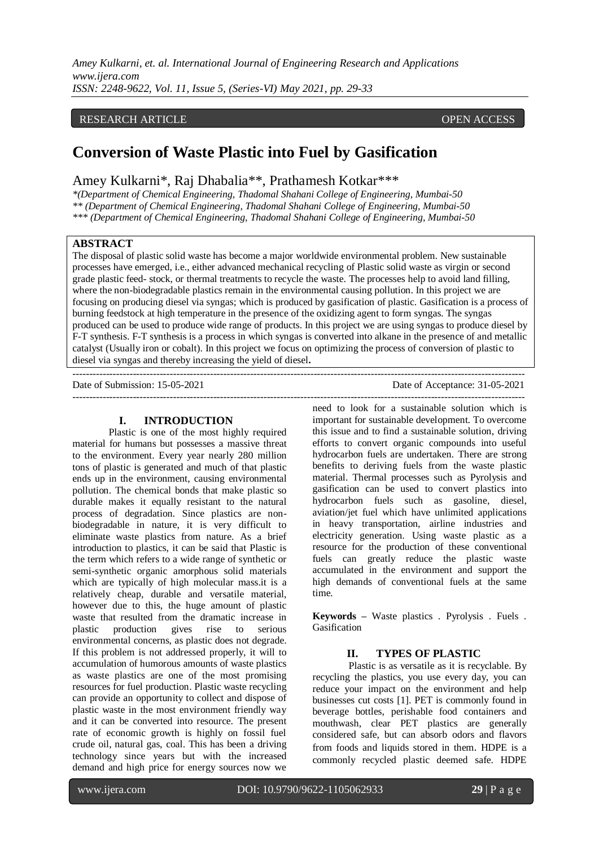*Amey Kulkarni, et. al. International Journal of Engineering Research and Applications www.ijera.com ISSN: 2248-9622, Vol. 11, Issue 5, (Series-VI) May 2021, pp. 29-33*

# RESEARCH ARTICLE OPEN ACCESS

# **Conversion of Waste Plastic into Fuel by Gasification**

Amey Kulkarni\*, Raj Dhabalia\*\*, Prathamesh Kotkar\*\*\*

*\*(Department of Chemical Engineering, Thadomal Shahani College of Engineering, Mumbai-50 \*\* (Department of Chemical Engineering, Thadomal Shahani College of Engineering, Mumbai-50 \*\*\* (Department of Chemical Engineering, Thadomal Shahani College of Engineering, Mumbai-50*

#### **ABSTRACT**

The disposal of plastic solid waste has become a major worldwide environmental problem. New sustainable processes have emerged, i.e., either advanced mechanical recycling of Plastic solid waste as virgin or second grade plastic feed- stock, or thermal treatments to recycle the waste. The processes help to avoid land filling, where the non-biodegradable plastics remain in the environmental causing pollution. In this project we are focusing on producing diesel via syngas; which is produced by gasification of plastic. Gasification is a process of burning feedstock at high temperature in the presence of the oxidizing agent to form syngas. The syngas produced can be used to produce wide range of products. In this project we are using syngas to produce diesel by F-T synthesis. F-T synthesis is a process in which syngas is converted into alkane in the presence of and metallic catalyst (Usually iron or cobalt). In this project we focus on optimizing the process of conversion of plastic to diesel via syngas and thereby increasing the yield of diesel**.** ---------------------------------------------------------------------------------------------------------------------------------------

#### **I. INTRODUCTION**

Plastic is one of the most highly required material for humans but possesses a massive threat to the environment. Every year nearly 280 million tons of plastic is generated and much of that plastic ends up in the environment, causing environmental pollution. The chemical bonds that make plastic so durable makes it equally resistant to the natural process of degradation. Since plastics are nonbiodegradable in nature, it is very difficult to eliminate waste plastics from nature. As a brief introduction to plastics, it can be said that Plastic is the term which refers to a wide range of synthetic or semi-synthetic organic amorphous solid materials which are typically of high molecular mass.it is a relatively cheap, durable and versatile material, however due to this, the huge amount of plastic waste that resulted from the dramatic increase in plastic production gives rise to serious environmental concerns, as plastic does not degrade. If this problem is not addressed properly, it will to accumulation of humorous amounts of waste plastics as waste plastics are one of the most promising resources for fuel production. Plastic waste recycling can provide an opportunity to collect and dispose of plastic waste in the most environment friendly way and it can be converted into resource. The present rate of economic growth is highly on fossil fuel crude oil, natural gas, coal. This has been a driving technology since years but with the increased demand and high price for energy sources now we

Date of Submission: 15-05-2021 Date of Acceptance: 31-05-2021 ---------------------------------------------------------------------------------------------------------------------------------------

> need to look for a sustainable solution which is important for sustainable development. To overcome this issue and to find a sustainable solution, driving efforts to convert organic compounds into useful hydrocarbon fuels are undertaken. There are strong benefits to deriving fuels from the waste plastic material. Thermal processes such as Pyrolysis and gasification can be used to convert plastics into hydrocarbon fuels such as gasoline, diesel, aviation/jet fuel which have unlimited applications in heavy transportation, airline industries and electricity generation. Using waste plastic as a resource for the production of these conventional fuels can greatly reduce the plastic waste accumulated in the environment and support the high demands of conventional fuels at the same time.

**Keywords –** Waste plastics . Pyrolysis . Fuels . Gasification

#### **II. TYPES OF PLASTIC**

Plastic is as versatile as it is recyclable. By recycling the plastics, you use every day, you can reduce your impact on the environment and help businesses cut costs [1]. PET is commonly found in beverage bottles, perishable food containers and mouthwash, clear PET plastics are generally considered safe, but can absorb odors and flavors from foods and liquids stored in them. HDPE is a commonly recycled plastic deemed safe. HDPE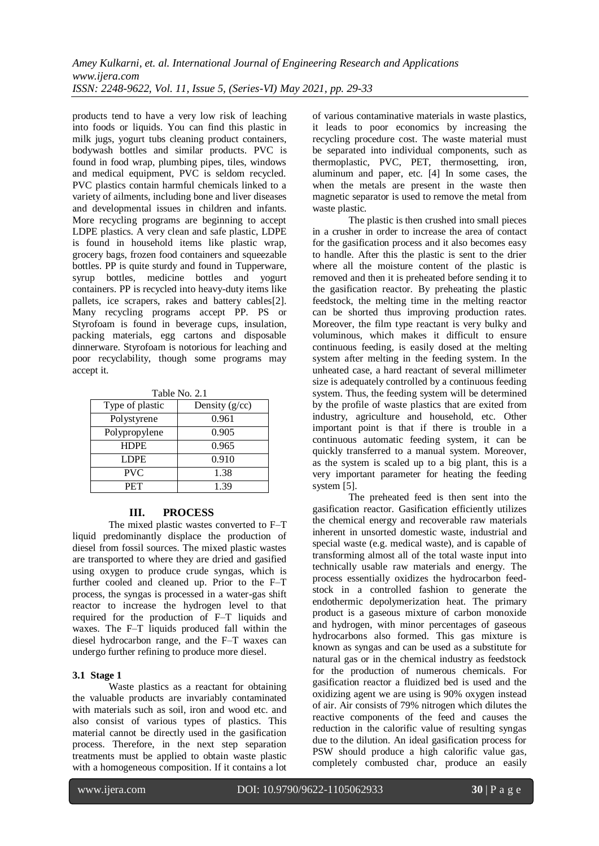products tend to have a very low risk of leaching into foods or liquids. You can find this plastic in milk jugs, yogurt tubs cleaning product containers, bodywash bottles and similar products. PVC is found in food wrap, plumbing pipes, tiles, windows and medical equipment, PVC is seldom recycled. PVC plastics contain harmful chemicals linked to a variety of ailments, including bone and liver diseases and developmental issues in children and infants. More recycling programs are beginning to accept LDPE plastics. A very clean and safe plastic, LDPE is found in household items like plastic wrap, grocery bags, frozen food containers and squeezable bottles. PP is quite sturdy and found in Tupperware, syrup bottles, medicine bottles and yogurt containers. PP is recycled into heavy-duty items like pallets, ice scrapers, rakes and battery cables[2]. Many recycling programs accept PP. PS or Styrofoam is found in beverage cups, insulation, packing materials, egg cartons and disposable dinnerware. Styrofoam is notorious for leaching and poor recyclability, though some programs may accept it.

Table No. 2.1

| Type of plastic | Density $(g/cc)$ |
|-----------------|------------------|
| Polystyrene     | 0.961            |
| Polypropylene   | 0.905            |
| <b>HDPE</b>     | 0.965            |
| <b>LDPE</b>     | 0.910            |
| <b>PVC</b>      | 1.38             |
| PET             | 1.39             |

#### **III. PROCESS**

The mixed plastic wastes converted to F–T liquid predominantly displace the production of diesel from fossil sources. The mixed plastic wastes are transported to where they are dried and gasified using oxygen to produce crude syngas, which is further cooled and cleaned up. Prior to the F–T process, the syngas is processed in a water-gas shift reactor to increase the hydrogen level to that required for the production of F–T liquids and waxes. The F–T liquids produced fall within the diesel hydrocarbon range, and the F–T waxes can undergo further refining to produce more diesel.

#### **3.1 Stage 1**

Waste plastics as a reactant for obtaining the valuable products are invariably contaminated with materials such as soil, iron and wood etc. and also consist of various types of plastics. This material cannot be directly used in the gasification process. Therefore, in the next step separation treatments must be applied to obtain waste plastic with a homogeneous composition. If it contains a lot

of various contaminative materials in waste plastics, it leads to poor economics by increasing the recycling procedure cost. The waste material must be separated into individual components, such as thermoplastic, PVC, PET, thermosetting, iron, aluminum and paper, etc. [4] In some cases, the when the metals are present in the waste then magnetic separator is used to remove the metal from waste plastic.

The plastic is then crushed into small pieces in a crusher in order to increase the area of contact for the gasification process and it also becomes easy to handle. After this the plastic is sent to the drier where all the moisture content of the plastic is removed and then it is preheated before sending it to the gasification reactor. By preheating the plastic feedstock, the melting time in the melting reactor can be shorted thus improving production rates. Moreover, the film type reactant is very bulky and voluminous, which makes it difficult to ensure continuous feeding, is easily dosed at the melting system after melting in the feeding system. In the unheated case, a hard reactant of several millimeter size is adequately controlled by a continuous feeding system. Thus, the feeding system will be determined by the profile of waste plastics that are exited from industry, agriculture and household, etc. Other important point is that if there is trouble in a continuous automatic feeding system, it can be quickly transferred to a manual system. Moreover, as the system is scaled up to a big plant, this is a very important parameter for heating the feeding system [5].

The preheated feed is then sent into the gasification reactor. Gasification efficiently utilizes the chemical energy and recoverable raw materials inherent in unsorted domestic waste, industrial and special waste (e.g. medical waste), and is capable of transforming almost all of the total waste input into technically usable raw materials and energy. The process essentially oxidizes the hydrocarbon feedstock in a controlled fashion to generate the endothermic depolymerization heat. The primary product is a gaseous mixture of carbon monoxide and hydrogen, with minor percentages of gaseous hydrocarbons also formed. This gas mixture is known as syngas and can be used as a substitute for natural gas or in the chemical industry as feedstock for the production of numerous chemicals. For gasification reactor a fluidized bed is used and the oxidizing agent we are using is 90% oxygen instead of air. Air consists of 79% nitrogen which dilutes the reactive components of the feed and causes the reduction in the calorific value of resulting syngas due to the dilution. An ideal gasification process for PSW should produce a high calorific value gas, completely combusted char, produce an easily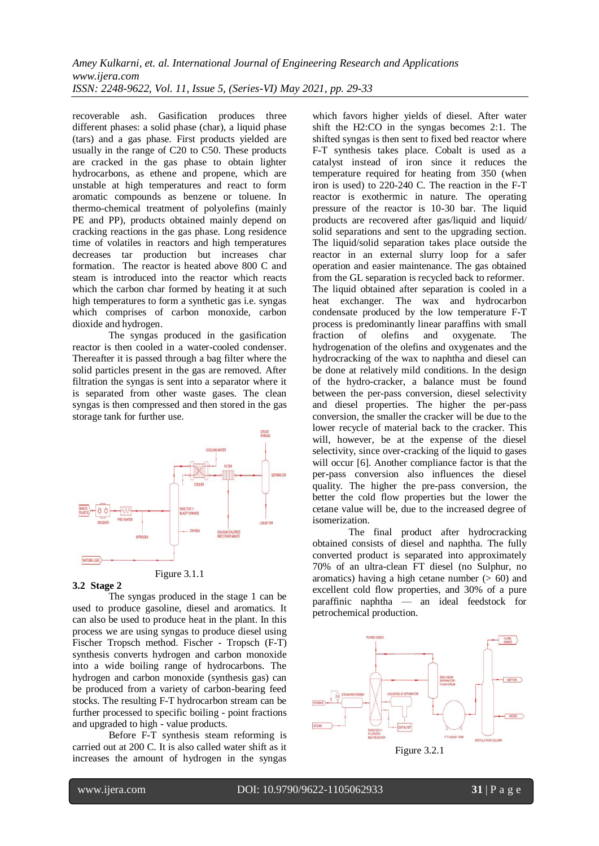recoverable ash. Gasification produces three different phases: a solid phase (char), a liquid phase (tars) and a gas phase. First products yielded are usually in the range of C20 to C50. These products are cracked in the gas phase to obtain lighter hydrocarbons, as ethene and propene, which are unstable at high temperatures and react to form aromatic compounds as benzene or toluene. In thermo-chemical treatment of polyolefins (mainly PE and PP), products obtained mainly depend on cracking reactions in the gas phase. Long residence time of volatiles in reactors and high temperatures decreases tar production but increases char formation. The reactor is heated above 800 C and steam is introduced into the reactor which reacts which the carbon char formed by heating it at such high temperatures to form a synthetic gas i.e. syngas which comprises of carbon monoxide, carbon dioxide and hydrogen.

The syngas produced in the gasification reactor is then cooled in a water-cooled condenser. Thereafter it is passed through a bag filter where the solid particles present in the gas are removed. After filtration the syngas is sent into a separator where it is separated from other waste gases. The clean syngas is then compressed and then stored in the gas storage tank for further use.



#### Figure 3.1.1

#### **3.2 Stage 2**

The syngas produced in the stage 1 can be used to produce gasoline, diesel and aromatics. It can also be used to produce heat in the plant. In this process we are using syngas to produce diesel using Fischer Tropsch method. Fischer - Tropsch (F-T) synthesis converts hydrogen and carbon monoxide into a wide boiling range of hydrocarbons. The hydrogen and carbon monoxide (synthesis gas) can be produced from a variety of carbon-bearing feed stocks. The resulting F-T hydrocarbon stream can be further processed to specific boiling - point fractions and upgraded to high - value products.

Before F-T synthesis steam reforming is carried out at 200 C. It is also called water shift as it increases the amount of hydrogen in the syngas

which favors higher yields of diesel. After water shift the H2:CO in the syngas becomes 2:1. The shifted syngas is then sent to fixed bed reactor where F-T synthesis takes place. Cobalt is used as a catalyst instead of iron since it reduces the temperature required for heating from 350 (when iron is used) to 220-240 C. The reaction in the F-T reactor is exothermic in nature. The operating pressure of the reactor is 10-30 bar. The liquid products are recovered after gas/liquid and liquid/ solid separations and sent to the upgrading section. The liquid/solid separation takes place outside the reactor in an external slurry loop for a safer operation and easier maintenance. The gas obtained from the GL separation is recycled back to reformer. The liquid obtained after separation is cooled in a heat exchanger. The wax and hydrocarbon condensate produced by the low temperature F-T process is predominantly linear paraffins with small fraction of olefins and oxygenate. The hydrogenation of the olefins and oxygenates and the hydrocracking of the wax to naphtha and diesel can be done at relatively mild conditions. In the design of the hydro-cracker, a balance must be found between the per-pass conversion, diesel selectivity and diesel properties. The higher the per-pass conversion, the smaller the cracker will be due to the lower recycle of material back to the cracker. This will, however, be at the expense of the diesel selectivity, since over-cracking of the liquid to gases will occur [6]. Another compliance factor is that the per-pass conversion also influences the diesel quality. The higher the pre-pass conversion, the better the cold flow properties but the lower the cetane value will be, due to the increased degree of isomerization.

The final product after hydrocracking obtained consists of diesel and naphtha. The fully converted product is separated into approximately 70% of an ultra-clean FT diesel (no Sulphur, no aromatics) having a high cetane number  $(> 60)$  and excellent cold flow properties, and 30% of a pure paraffinic naphtha — an ideal feedstock for petrochemical production.



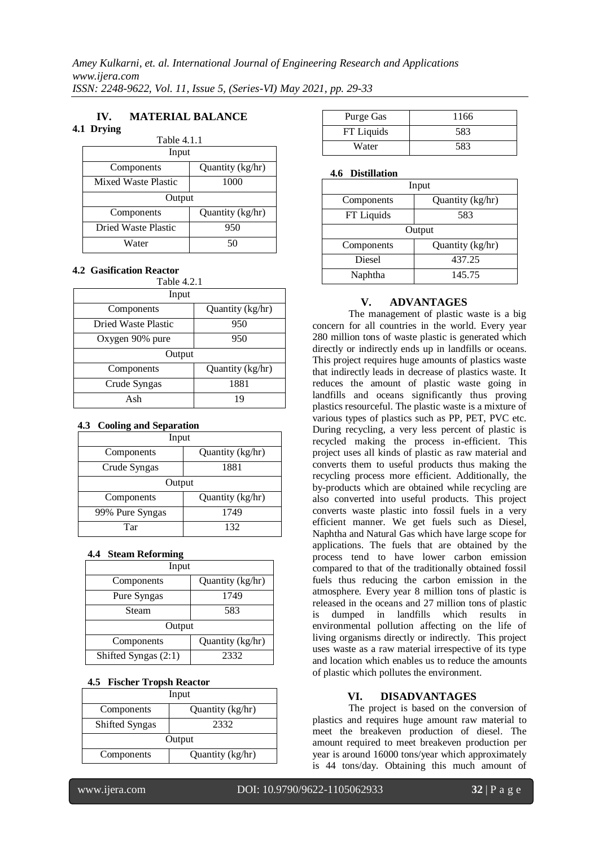#### **IV. MATERIAL BALANCE 4.1 Drying**

| Table 4.1.1         |                  |
|---------------------|------------------|
| Input               |                  |
| Components          | Quantity (kg/hr) |
| Mixed Waste Plastic | 1000             |
| Output              |                  |
| Components          | Quantity (kg/hr) |
| Dried Waste Plastic | 950              |
| Water               | 50               |

#### **4.2 Gasification Reactor**

| Table 4.2.1                |                  |  |
|----------------------------|------------------|--|
| Input                      |                  |  |
| Components                 | Quantity (kg/hr) |  |
| <b>Dried Waste Plastic</b> | 950              |  |
| Oxygen 90% pure            | 950              |  |
| Output                     |                  |  |
| Components                 | Quantity (kg/hr) |  |
| Crude Syngas               | 1881             |  |
| $A$ sh                     | 19               |  |

### **4.3 Cooling and Separation**

| Input           |                  |
|-----------------|------------------|
| Components      | Quantity (kg/hr) |
| Crude Syngas    | 1881             |
| Output          |                  |
| Components      | Quantity (kg/hr) |
| 99% Pure Syngas | 1749             |
| Tar             | 132              |

# **4.4 Steam Reforming**

| Input                  |                  |
|------------------------|------------------|
| Components             | Quantity (kg/hr) |
| Pure Syngas            | 1749             |
| Steam                  | 583              |
| Output                 |                  |
| Components             | Quantity (kg/hr) |
| Shifted Syngas $(2:1)$ | 2332             |

# **4.5 Fischer Tropsh Reactor**

| Input                 |                  |  |
|-----------------------|------------------|--|
| Components            | Quantity (kg/hr) |  |
| <b>Shifted Syngas</b> | 2332             |  |
| Output                |                  |  |
| Components            | Quantity (kg/hr) |  |
|                       |                  |  |

| Purge Gas  | 1166 |
|------------|------|
| FT Liquids | 583  |
| Water      | 583  |

# **4.6 Distillation**

| Input      |                  |
|------------|------------------|
| Components | Quantity (kg/hr) |
| FT Liquids | 583              |
| Output     |                  |
| Components | Quantity (kg/hr) |
| Diesel     | 437.25           |
| Naphtha    | 145.75           |

# **V. ADVANTAGES**

The management of plastic waste is a big concern for all countries in the world. Every year 280 million tons of waste plastic is generated which directly or indirectly ends up in landfills or oceans. This project requires huge amounts of plastics waste that indirectly leads in decrease of plastics waste. It reduces the amount of plastic waste going in landfills and oceans significantly thus proving plastics resourceful. The plastic waste is a mixture of various types of plastics such as PP, PET, PVC etc. During recycling, a very less percent of plastic is recycled making the process in-efficient. This project uses all kinds of plastic as raw material and converts them to useful products thus making the recycling process more efficient. Additionally, the by-products which are obtained while recycling are also converted into useful products. This project converts waste plastic into fossil fuels in a very efficient manner. We get fuels such as Diesel, Naphtha and Natural Gas which have large scope for applications. The fuels that are obtained by the process tend to have lower carbon emission compared to that of the traditionally obtained fossil fuels thus reducing the carbon emission in the atmosphere. Every year 8 million tons of plastic is released in the oceans and 27 million tons of plastic is dumped in landfills which results in environmental pollution affecting on the life of living organisms directly or indirectly. This project uses waste as a raw material irrespective of its type and location which enables us to reduce the amounts of plastic which pollutes the environment.

# **VI. DISADVANTAGES**

The project is based on the conversion of plastics and requires huge amount raw material to meet the breakeven production of diesel. The amount required to meet breakeven production per year is around 16000 tons/year which approximately is 44 tons/day. Obtaining this much amount of